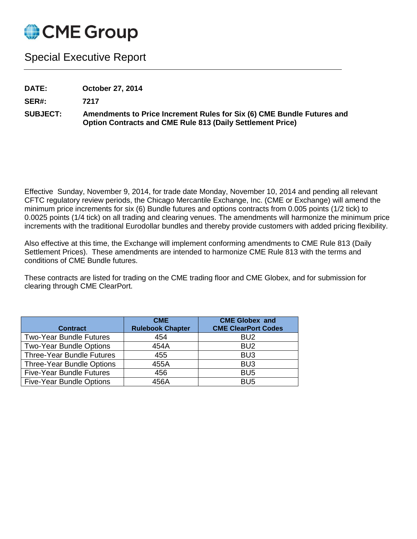

## Special Executive Report

**DATE: October 27, 2014**

**SER#: 7217**

**SUBJECT: Amendments to Price Increment Rules for Six (6) CME Bundle Futures and Option Contracts and CME Rule 813 (Daily Settlement Price)**

Effective Sunday, November 9, 2014, for trade date Monday, November 10, 2014 and pending all relevant CFTC regulatory review periods, the Chicago Mercantile Exchange, Inc. (CME or Exchange) will amend the minimum price increments for six (6) Bundle futures and options contracts from 0.005 points (1/2 tick) to 0.0025 points (1/4 tick) on all trading and clearing venues. The amendments will harmonize the minimum price increments with the traditional Eurodollar bundles and thereby provide customers with added pricing flexibility.

Also effective at this time, the Exchange will implement conforming amendments to CME Rule 813 (Daily Settlement Prices). These amendments are intended to harmonize CME Rule 813 with the terms and conditions of CME Bundle futures.

These contracts are listed for trading on the CME trading floor and CME Globex, and for submission for clearing through CME ClearPort.

| <b>Contract</b>                  | <b>CME</b><br><b>Rulebook Chapter</b> | <b>CME Globex and</b><br><b>CME ClearPort Codes</b> |
|----------------------------------|---------------------------------------|-----------------------------------------------------|
| <b>Two-Year Bundle Futures</b>   | 454                                   | BU <sub>2</sub>                                     |
| <b>Two-Year Bundle Options</b>   | 454A                                  | BU <sub>2</sub>                                     |
| <b>Three-Year Bundle Futures</b> | 455                                   | BU <sub>3</sub>                                     |
| <b>Three-Year Bundle Options</b> | 455A                                  | BU <sub>3</sub>                                     |
| <b>Five-Year Bundle Futures</b>  | 456                                   | BU <sub>5</sub>                                     |
| <b>Five-Year Bundle Options</b>  | 456A                                  | BU <sub>5</sub>                                     |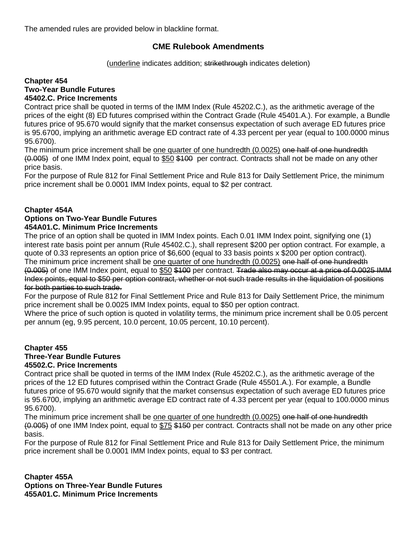The amended rules are provided below in blackline format.

## **CME Rulebook Amendments**

(underline indicates addition; strikethrough indicates deletion)

## **Chapter 454 Two-Year Bundle Futures 45402.C. Price Increments**

Contract price shall be quoted in terms of the IMM Index (Rule 45202.C.), as the arithmetic average of the prices of the eight (8) ED futures comprised within the Contract Grade (Rule 45401.A.). For example, a Bundle futures price of 95.670 would signify that the market consensus expectation of such average ED futures price is 95.6700, implying an arithmetic average ED contract rate of 4.33 percent per year (equal to 100.0000 minus 95.6700).

The minimum price increment shall be one quarter of one hundredth (0.0025) one half of one hundredth (0.005) of one IMM Index point, equal to \$50 \$100 per contract. Contracts shall not be made on any other price basis.

For the purpose of Rule 812 for Final Settlement Price and Rule 813 for Daily Settlement Price, the minimum price increment shall be 0.0001 IMM Index points, equal to \$2 per contract.

## **Chapter 454A**

# **Options on Two-Year Bundle Futures**

**454A01.C. Minimum Price Increments**

The price of an option shall be quoted in IMM Index points. Each 0.01 IMM Index point, signifying one (1) interest rate basis point per annum (Rule 45402.C.), shall represent \$200 per option contract. For example, a quote of 0.33 represents an option price of \$6,600 (equal to 33 basis points x \$200 per option contract). The minimum price increment shall be one quarter of one hundredth (0.0025) one half of one hundredth (0.005) of one IMM Index point, equal to \$50 \$100 per contract. Trade also may occur at a price of 0.0025 IMM Index points, equal to \$50 per option contract, whether or not such trade results in the liquidation of positions for both parties to such trade.

For the purpose of Rule 812 for Final Settlement Price and Rule 813 for Daily Settlement Price, the minimum price increment shall be 0.0025 IMM Index points, equal to \$50 per option contract.

Where the price of such option is quoted in volatility terms, the minimum price increment shall be 0.05 percent per annum (eg, 9.95 percent, 10.0 percent, 10.05 percent, 10.10 percent).

## **Chapter 455**

#### **Three-Year Bundle Futures 45502.C. Price Increments**

Contract price shall be quoted in terms of the IMM Index (Rule 45202.C.), as the arithmetic average of the prices of the 12 ED futures comprised within the Contract Grade (Rule 45501.A.). For example, a Bundle futures price of 95.670 would signify that the market consensus expectation of such average ED futures price is 95.6700, implying an arithmetic average ED contract rate of 4.33 percent per year (equal to 100.0000 minus 95.6700).

The minimum price increment shall be one quarter of one hundredth (0.0025) one half of one hundredth (0.005) of one IMM Index point, equal to \$75 \$150 per contract. Contracts shall not be made on any other price basis.

For the purpose of Rule 812 for Final Settlement Price and Rule 813 for Daily Settlement Price, the minimum price increment shall be 0.0001 IMM Index points, equal to \$3 per contract.

**Chapter 455A Options on Three-Year Bundle Futures 455A01.C. Minimum Price Increments**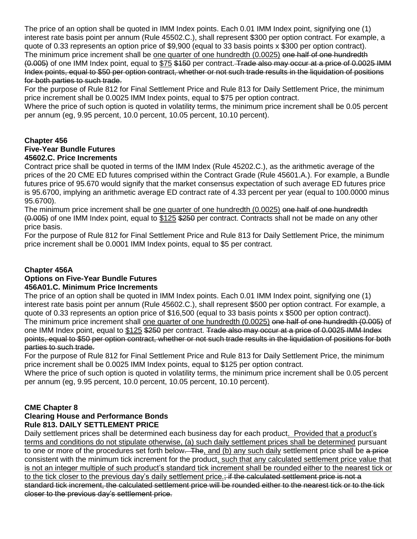The price of an option shall be quoted in IMM Index points. Each 0.01 IMM Index point, signifying one (1) interest rate basis point per annum (Rule 45502.C.), shall represent \$300 per option contract. For example, a quote of 0.33 represents an option price of \$9,900 (equal to 33 basis points x \$300 per option contract). The minimum price increment shall be one quarter of one hundredth (0.0025) one half of one hundredth (0.005) of one IMM Index point, equal to \$75 \$150 per contract. Trade also may occur at a price of 0.0025 IMM Index points, equal to \$50 per option contract, whether or not such trade results in the liquidation of positions for both parties to such trade.

For the purpose of Rule 812 for Final Settlement Price and Rule 813 for Daily Settlement Price, the minimum price increment shall be 0.0025 IMM Index points, equal to \$75 per option contract.

Where the price of such option is quoted in volatility terms, the minimum price increment shall be 0.05 percent per annum (eg, 9.95 percent, 10.0 percent, 10.05 percent, 10.10 percent).

## **Chapter 456 Five-Year Bundle Futures 45602.C. Price Increments**

Contract price shall be quoted in terms of the IMM Index (Rule 45202.C.), as the arithmetic average of the prices of the 20 CME ED futures comprised within the Contract Grade (Rule 45601.A.). For example, a Bundle futures price of 95.670 would signify that the market consensus expectation of such average ED futures price is 95.6700, implying an arithmetic average ED contract rate of 4.33 percent per year (equal to 100.0000 minus 95.6700).

The minimum price increment shall be one quarter of one hundredth (0.0025) one half of one hundredth (0.005) of one IMM Index point, equal to \$125 \$250 per contract. Contracts shall not be made on any other price basis.

For the purpose of Rule 812 for Final Settlement Price and Rule 813 for Daily Settlement Price, the minimum price increment shall be 0.0001 IMM Index points, equal to \$5 per contract.

## **Chapter 456A**

#### **Options on Five-Year Bundle Futures 456A01.C. Minimum Price Increments**

The price of an option shall be quoted in IMM Index points. Each 0.01 IMM Index point, signifying one (1) interest rate basis point per annum (Rule 45602.C.), shall represent \$500 per option contract. For example, a quote of 0.33 represents an option price of \$16,500 (equal to 33 basis points x \$500 per option contract). The minimum price increment shall one quarter of one hundredth (0.0025) one half of one hundredth (0.005) of one IMM Index point, equal to \$125 \$250 per contract. Trade also may occur at a price of 0.0025 IMM Index points, equal to \$50 per option contract, whether or not such trade results in the liquidation of positions for both parties to such trade.

For the purpose of Rule 812 for Final Settlement Price and Rule 813 for Daily Settlement Price, the minimum price increment shall be 0.0025 IMM Index points, equal to \$125 per option contract.

Where the price of such option is quoted in volatility terms, the minimum price increment shall be 0.05 percent per annum (eg, 9.95 percent, 10.0 percent, 10.05 percent, 10.10 percent).

## **CME Chapter 8**

## **Clearing House and Performance Bonds Rule 813. DAILY SETTLEMENT PRICE**

Daily settlement prices shall be determined each business day for each product. Provided that a product's terms and conditions do not stipulate otherwise, (a) such daily settlement prices shall be determined pursuant to one or more of the procedures set forth below. The, and (b) any such daily settlement price shall be a price consistent with the minimum tick increment for the product, such that any calculated settlement price value that is not an integer multiple of such product's standard tick increment shall be rounded either to the nearest tick or to the tick closer to the previous day's daily settlement price.; if the calculated settlement price is not a standard tick increment, the calculated settlement price will be rounded either to the nearest tick or to the tick closer to the previous day's settlement price.